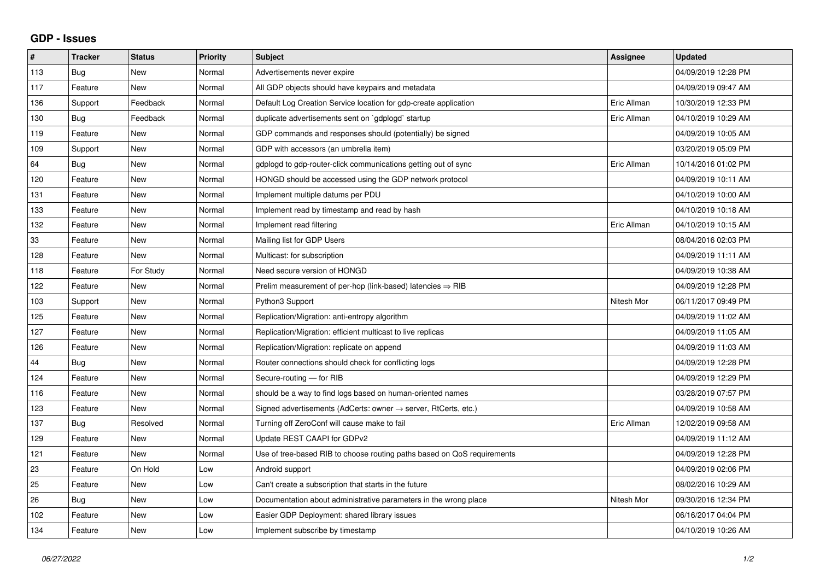## **GDP - Issues**

| #   | <b>Tracker</b> | <b>Status</b> | Priority | <b>Subject</b>                                                             | Assignee    | <b>Updated</b>      |
|-----|----------------|---------------|----------|----------------------------------------------------------------------------|-------------|---------------------|
| 113 | Bug            | <b>New</b>    | Normal   | Advertisements never expire                                                |             | 04/09/2019 12:28 PM |
| 117 | Feature        | <b>New</b>    | Normal   | All GDP objects should have keypairs and metadata                          |             | 04/09/2019 09:47 AM |
| 136 | Support        | Feedback      | Normal   | Default Log Creation Service location for gdp-create application           | Eric Allman | 10/30/2019 12:33 PM |
| 130 | Bug            | Feedback      | Normal   | duplicate advertisements sent on `gdplogd` startup                         | Eric Allman | 04/10/2019 10:29 AM |
| 119 | Feature        | <b>New</b>    | Normal   | GDP commands and responses should (potentially) be signed                  |             | 04/09/2019 10:05 AM |
| 109 | Support        | <b>New</b>    | Normal   | GDP with accessors (an umbrella item)                                      |             | 03/20/2019 05:09 PM |
| 64  | Bug            | <b>New</b>    | Normal   | gdplogd to gdp-router-click communications getting out of sync             | Eric Allman | 10/14/2016 01:02 PM |
| 120 | Feature        | <b>New</b>    | Normal   | HONGD should be accessed using the GDP network protocol                    |             | 04/09/2019 10:11 AM |
| 131 | Feature        | <b>New</b>    | Normal   | Implement multiple datums per PDU                                          |             | 04/10/2019 10:00 AM |
| 133 | Feature        | <b>New</b>    | Normal   | Implement read by timestamp and read by hash                               |             | 04/10/2019 10:18 AM |
| 132 | Feature        | <b>New</b>    | Normal   | Implement read filtering                                                   | Eric Allman | 04/10/2019 10:15 AM |
| 33  | Feature        | <b>New</b>    | Normal   | Mailing list for GDP Users                                                 |             | 08/04/2016 02:03 PM |
| 128 | Feature        | <b>New</b>    | Normal   | Multicast: for subscription                                                |             | 04/09/2019 11:11 AM |
| 118 | Feature        | For Study     | Normal   | Need secure version of HONGD                                               |             | 04/09/2019 10:38 AM |
| 122 | Feature        | <b>New</b>    | Normal   | Prelim measurement of per-hop (link-based) latencies $\Rightarrow$ RIB     |             | 04/09/2019 12:28 PM |
| 103 | Support        | <b>New</b>    | Normal   | Python3 Support                                                            | Nitesh Mor  | 06/11/2017 09:49 PM |
| 125 | Feature        | <b>New</b>    | Normal   | Replication/Migration: anti-entropy algorithm                              |             | 04/09/2019 11:02 AM |
| 127 | Feature        | New           | Normal   | Replication/Migration: efficient multicast to live replicas                |             | 04/09/2019 11:05 AM |
| 126 | Feature        | <b>New</b>    | Normal   | Replication/Migration: replicate on append                                 |             | 04/09/2019 11:03 AM |
| 44  | Bug            | <b>New</b>    | Normal   | Router connections should check for conflicting logs                       |             | 04/09/2019 12:28 PM |
| 124 | Feature        | <b>New</b>    | Normal   | Secure-routing - for RIB                                                   |             | 04/09/2019 12:29 PM |
| 116 | Feature        | <b>New</b>    | Normal   | should be a way to find logs based on human-oriented names                 |             | 03/28/2019 07:57 PM |
| 123 | Feature        | <b>New</b>    | Normal   | Signed advertisements (AdCerts: owner $\rightarrow$ server, RtCerts, etc.) |             | 04/09/2019 10:58 AM |
| 137 | Bug            | Resolved      | Normal   | Turning off ZeroConf will cause make to fail                               | Eric Allman | 12/02/2019 09:58 AM |
| 129 | Feature        | <b>New</b>    | Normal   | Update REST CAAPI for GDPv2                                                |             | 04/09/2019 11:12 AM |
| 121 | Feature        | <b>New</b>    | Normal   | Use of tree-based RIB to choose routing paths based on QoS requirements    |             | 04/09/2019 12:28 PM |
| 23  | Feature        | On Hold       | Low      | Android support                                                            |             | 04/09/2019 02:06 PM |
| 25  | Feature        | <b>New</b>    | Low      | Can't create a subscription that starts in the future                      |             | 08/02/2016 10:29 AM |
| 26  | <b>Bug</b>     | <b>New</b>    | Low      | Documentation about administrative parameters in the wrong place           | Nitesh Mor  | 09/30/2016 12:34 PM |
| 102 | Feature        | <b>New</b>    | Low      | Easier GDP Deployment: shared library issues                               |             | 06/16/2017 04:04 PM |
| 134 | Feature        | <b>New</b>    | Low      | Implement subscribe by timestamp                                           |             | 04/10/2019 10:26 AM |